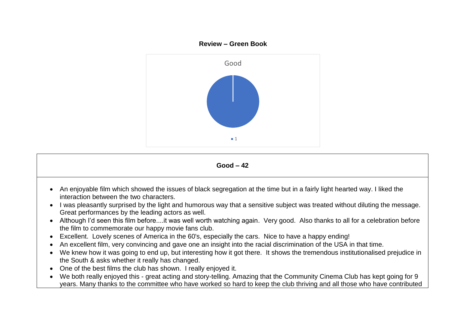



- An enjoyable film which showed the issues of black segregation at the time but in a fairly light hearted way. I liked the interaction between the two characters.
- I was pleasantly surprised by the light and humorous way that a sensitive subject was treated without diluting the message. Great performances by the leading actors as well.
- Although I'd seen this film before....it was well worth watching again. Very good. Also thanks to all for a celebration before the film to commemorate our happy movie fans club.
- Excellent. Lovely scenes of America in the 60's, especially the cars. Nice to have a happy ending!
- An excellent film, very convincing and gave one an insight into the racial discrimination of the USA in that time.
- We knew how it was going to end up, but interesting how it got there. It shows the tremendous institutionalised prejudice in the South & asks whether it really has changed.
- One of the best films the club has shown. I really enjoyed it.
- We both really enjoyed this great acting and story-telling. Amazing that the Community Cinema Club has kept going for 9 years. Many thanks to the committee who have worked so hard to keep the club thriving and all those who have contributed